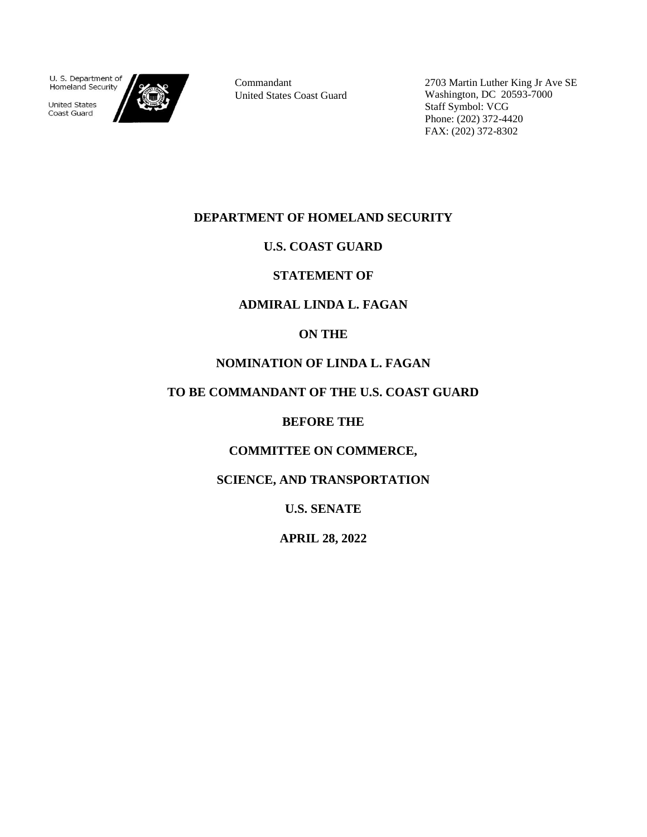U. S. Department of Homeland Security

**United States** Coast Guard



Commandant United States Coast Guard 2703 Martin Luther King Jr Ave SE Washington, DC 20593-7000 Staff Symbol: VCG Phone: (202) 372-4420 FAX: (202) 372-8302

# **DEPARTMENT OF HOMELAND SECURITY**

# **U.S. COAST GUARD**

### **STATEMENT OF**

### **ADMIRAL LINDA L. FAGAN**

# **ON THE**

# **NOMINATION OF LINDA L. FAGAN**

### **TO BE COMMANDANT OF THE U.S. COAST GUARD**

## **BEFORE THE**

# **COMMITTEE ON COMMERCE,**

# **SCIENCE, AND TRANSPORTATION**

**U.S. SENATE**

**APRIL 28, 2022**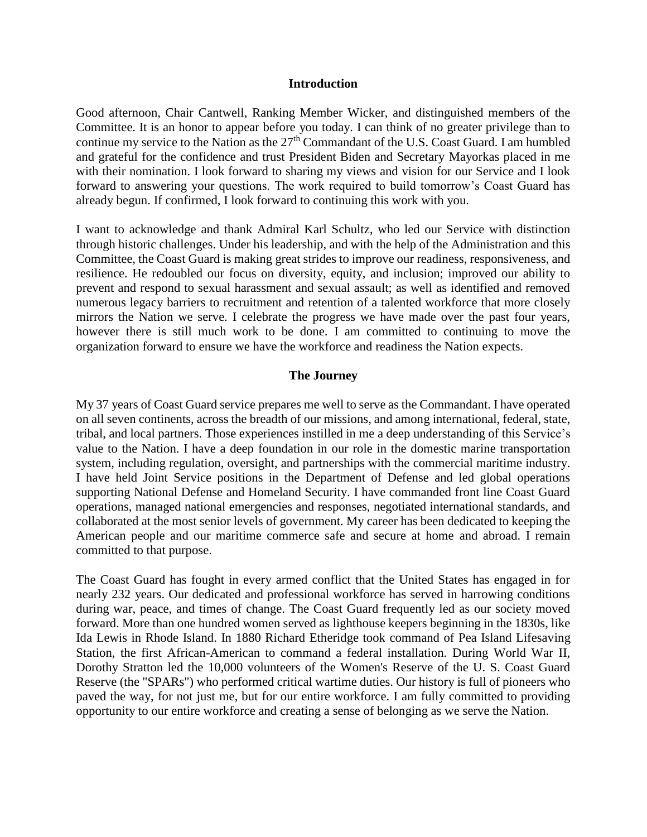#### **Introduction**

Good afternoon, Chair Cantwell, Ranking Member Wicker, and distinguished members of the Committee. It is an honor to appear before you today. I can think of no greater privilege than to continue my service to the Nation as the  $27<sup>th</sup>$  Commandant of the U.S. Coast Guard. I am humbled and grateful for the confidence and trust President Biden and Secretary Mayorkas placed in me with their nomination. I look forward to sharing my views and vision for our Service and I look forward to answering your questions. The work required to build tomorrow's Coast Guard has already begun. If confirmed, I look forward to continuing this work with you.

I want to acknowledge and thank Admiral Karl Schultz, who led our Service with distinction through historic challenges. Under his leadership, and with the help of the Administration and this Committee, the Coast Guard is making great strides to improve our readiness, responsiveness, and resilience. He redoubled our focus on diversity, equity, and inclusion; improved our ability to prevent and respond to sexual harassment and sexual assault; as well as identified and removed numerous legacy barriers to recruitment and retention of a talented workforce that more closely mirrors the Nation we serve. I celebrate the progress we have made over the past four years, however there is still much work to be done. I am committed to continuing to move the organization forward to ensure we have the workforce and readiness the Nation expects.

#### **The Journey**

My 37 years of Coast Guard service prepares me well to serve as the Commandant. I have operated on all seven continents, across the breadth of our missions, and among international, federal, state, tribal, and local partners. Those experiences instilled in me a deep understanding of this Service's value to the Nation. I have a deep foundation in our role in the domestic marine transportation system, including regulation, oversight, and partnerships with the commercial maritime industry. I have held Joint Service positions in the Department of Defense and led global operations supporting National Defense and Homeland Security. I have commanded front line Coast Guard operations, managed national emergencies and responses, negotiated international standards, and collaborated at the most senior levels of government. My career has been dedicated to keeping the American people and our maritime commerce safe and secure at home and abroad. I remain committed to that purpose.

The Coast Guard has fought in every armed conflict that the United States has engaged in for nearly 232 years. Our dedicated and professional workforce has served in harrowing conditions during war, peace, and times of change. The Coast Guard frequently led as our society moved forward. More than one hundred women served as lighthouse keepers beginning in the 1830s, like Ida Lewis in Rhode Island. In 1880 Richard Etheridge took command of Pea Island Lifesaving Station, the first African-American to command a federal installation. During World War II, Dorothy Stratton led the 10,000 volunteers of the Women's Reserve of the U. S. Coast Guard Reserve (the "SPARs") who performed critical wartime duties. Our history is full of pioneers who paved the way, for not just me, but for our entire workforce. I am fully committed to providing opportunity to our entire workforce and creating a sense of belonging as we serve the Nation.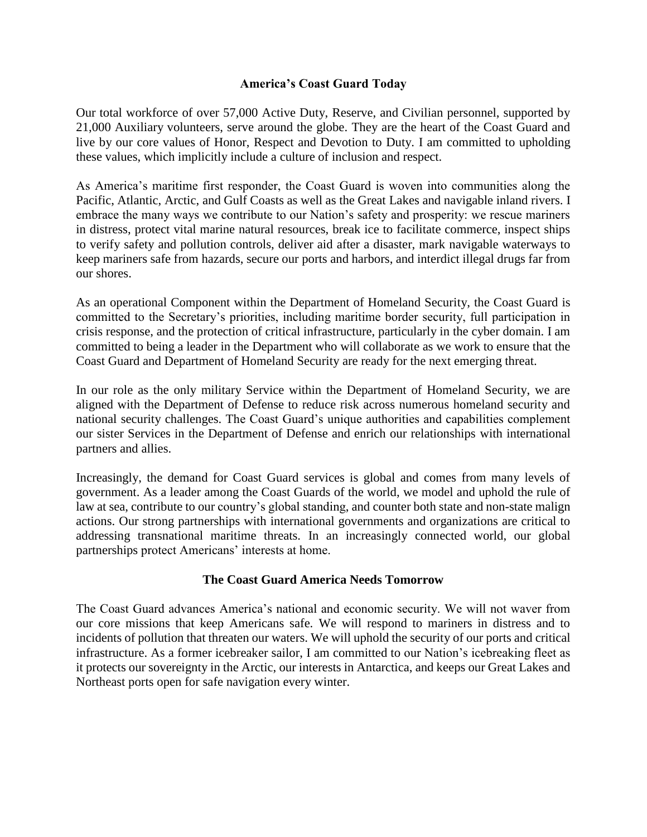#### **America's Coast Guard Today**

Our total workforce of over 57,000 Active Duty, Reserve, and Civilian personnel, supported by 21,000 Auxiliary volunteers, serve around the globe. They are the heart of the Coast Guard and live by our core values of Honor, Respect and Devotion to Duty. I am committed to upholding these values, which implicitly include a culture of inclusion and respect.

As America's maritime first responder, the Coast Guard is woven into communities along the Pacific, Atlantic, Arctic, and Gulf Coasts as well as the Great Lakes and navigable inland rivers. I embrace the many ways we contribute to our Nation's safety and prosperity: we rescue mariners in distress, protect vital marine natural resources, break ice to facilitate commerce, inspect ships to verify safety and pollution controls, deliver aid after a disaster, mark navigable waterways to keep mariners safe from hazards, secure our ports and harbors, and interdict illegal drugs far from our shores.

As an operational Component within the Department of Homeland Security, the Coast Guard is committed to the Secretary's priorities, including maritime border security, full participation in crisis response, and the protection of critical infrastructure, particularly in the cyber domain. I am committed to being a leader in the Department who will collaborate as we work to ensure that the Coast Guard and Department of Homeland Security are ready for the next emerging threat.

In our role as the only military Service within the Department of Homeland Security, we are aligned with the Department of Defense to reduce risk across numerous homeland security and national security challenges. The Coast Guard's unique authorities and capabilities complement our sister Services in the Department of Defense and enrich our relationships with international partners and allies.

Increasingly, the demand for Coast Guard services is global and comes from many levels of government. As a leader among the Coast Guards of the world, we model and uphold the rule of law at sea, contribute to our country's global standing, and counter both state and non-state malign actions. Our strong partnerships with international governments and organizations are critical to addressing transnational maritime threats. In an increasingly connected world, our global partnerships protect Americans' interests at home.

#### **The Coast Guard America Needs Tomorrow**

The Coast Guard advances America's national and economic security. We will not waver from our core missions that keep Americans safe. We will respond to mariners in distress and to incidents of pollution that threaten our waters. We will uphold the security of our ports and critical infrastructure. As a former icebreaker sailor, I am committed to our Nation's icebreaking fleet as it protects our sovereignty in the Arctic, our interests in Antarctica, and keeps our Great Lakes and Northeast ports open for safe navigation every winter.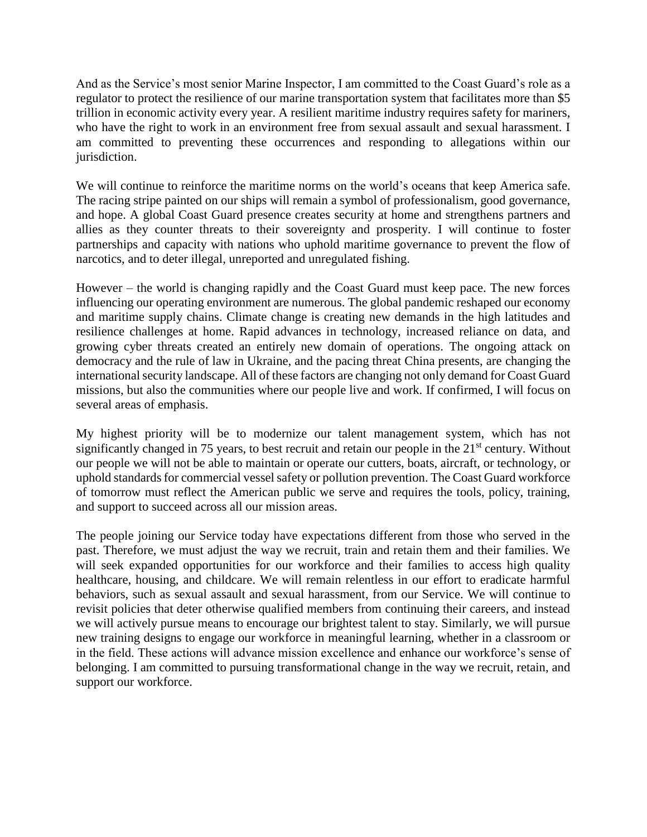And as the Service's most senior Marine Inspector, I am committed to the Coast Guard's role as a regulator to protect the resilience of our marine transportation system that facilitates more than \$5 trillion in economic activity every year. A resilient maritime industry requires safety for mariners, who have the right to work in an environment free from sexual assault and sexual harassment. I am committed to preventing these occurrences and responding to allegations within our jurisdiction.

We will continue to reinforce the maritime norms on the world's oceans that keep America safe. The racing stripe painted on our ships will remain a symbol of professionalism, good governance, and hope. A global Coast Guard presence creates security at home and strengthens partners and allies as they counter threats to their sovereignty and prosperity. I will continue to foster partnerships and capacity with nations who uphold maritime governance to prevent the flow of narcotics, and to deter illegal, unreported and unregulated fishing.

However – the world is changing rapidly and the Coast Guard must keep pace. The new forces influencing our operating environment are numerous. The global pandemic reshaped our economy and maritime supply chains. Climate change is creating new demands in the high latitudes and resilience challenges at home. Rapid advances in technology, increased reliance on data, and growing cyber threats created an entirely new domain of operations. The ongoing attack on democracy and the rule of law in Ukraine, and the pacing threat China presents, are changing the international security landscape. All of these factors are changing not only demand for Coast Guard missions, but also the communities where our people live and work. If confirmed, I will focus on several areas of emphasis.

My highest priority will be to modernize our talent management system, which has not significantly changed in 75 years, to best recruit and retain our people in the 21<sup>st</sup> century. Without our people we will not be able to maintain or operate our cutters, boats, aircraft, or technology, or uphold standards for commercial vessel safety or pollution prevention. The Coast Guard workforce of tomorrow must reflect the American public we serve and requires the tools, policy, training, and support to succeed across all our mission areas.

The people joining our Service today have expectations different from those who served in the past. Therefore, we must adjust the way we recruit, train and retain them and their families. We will seek expanded opportunities for our workforce and their families to access high quality healthcare, housing, and childcare. We will remain relentless in our effort to eradicate harmful behaviors, such as sexual assault and sexual harassment, from our Service. We will continue to revisit policies that deter otherwise qualified members from continuing their careers, and instead we will actively pursue means to encourage our brightest talent to stay. Similarly, we will pursue new training designs to engage our workforce in meaningful learning, whether in a classroom or in the field. These actions will advance mission excellence and enhance our workforce's sense of belonging. I am committed to pursuing transformational change in the way we recruit, retain, and support our workforce.